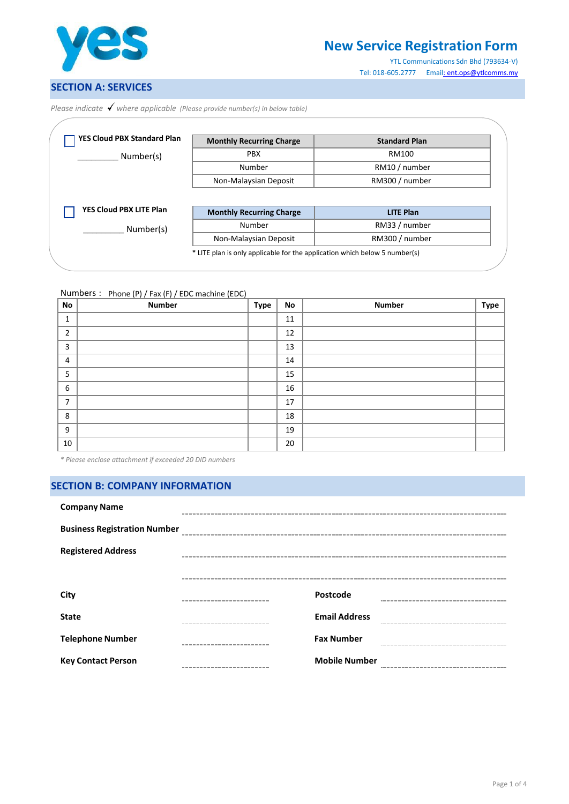

# **New Service Registration Form**

YTL Communications Sdn Bhd (793634-V) Tel: 018-605.2777 Ema[il: ent.ops@ytlcomms.my](mailto::%20ent.ops@ytlcomms.my)

## **SECTION A: SERVICES**

*Please indicate where applicable (Please provide number(s) in below table)*

| <b>YES Cloud PBX Standard Plan</b> | <b>Monthly Recurring Charge</b>           | <b>Standard Plan</b> |
|------------------------------------|-------------------------------------------|----------------------|
| Number(s)                          | <b>PBX</b>                                | RM100                |
|                                    | Number                                    | RM10 / number        |
|                                    |                                           |                      |
|                                    | Non-Malaysian Deposit                     | RM300 / number       |
| YES Cloud PBX LITE Plan            |                                           | <b>LITE Plan</b>     |
| Number(s)                          | <b>Monthly Recurring Charge</b><br>Number | RM33 / number        |

Numbers : Phone (P) / Fax (F) / EDC machine (EDC)

| <b>No</b>      | <b>Number</b> | <b>Type</b> | No | <b>Number</b> | Type |
|----------------|---------------|-------------|----|---------------|------|
| 1              |               |             | 11 |               |      |
| $\overline{2}$ |               |             | 12 |               |      |
| 3              |               |             | 13 |               |      |
| 4              |               |             | 14 |               |      |
| 5              |               |             | 15 |               |      |
| 6              |               |             | 16 |               |      |
| 7              |               |             | 17 |               |      |
| 8              |               |             | 18 |               |      |
| 9              |               |             | 19 |               |      |
| 10             |               |             | 20 |               |      |

*\* Please enclose attachment if exceeded 20 DID numbers*

## **SECTION B: COMPANY INFORMATION**

| <b>Company Name</b>                 |                      |  |
|-------------------------------------|----------------------|--|
| <b>Business Registration Number</b> |                      |  |
| <b>Registered Address</b>           |                      |  |
|                                     |                      |  |
| City                                | Postcode             |  |
| <b>State</b>                        | <b>Email Address</b> |  |
| <b>Telephone Number</b>             | <b>Fax Number</b>    |  |
| <b>Key Contact Person</b>           | <b>Mobile Number</b> |  |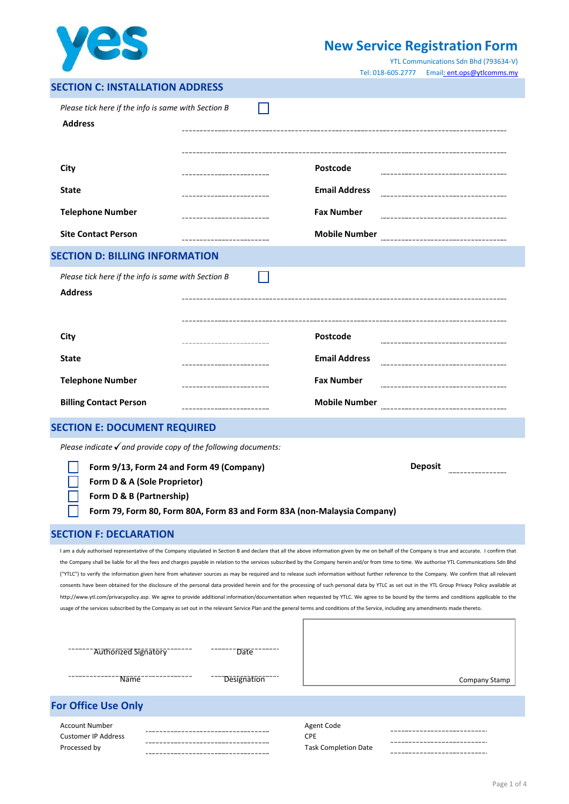

# **New Service Registration Form**

YTL Communications Sdn Bhd (793634-V) Tel: 018-605.2777 Ema[il: ent.ops@ytlcomms.my](mailto::%20ent.ops@ytlcomms.my)

| <b>SECTION C: INSTALLATION ADDRESS</b> |  |
|----------------------------------------|--|
|----------------------------------------|--|

| Please tick here if the info is same with Section B                       |                                                                                                                                                                                     |                      |                                                                                                                                                                                                                                                                                                                                                                                                      |
|---------------------------------------------------------------------------|-------------------------------------------------------------------------------------------------------------------------------------------------------------------------------------|----------------------|------------------------------------------------------------------------------------------------------------------------------------------------------------------------------------------------------------------------------------------------------------------------------------------------------------------------------------------------------------------------------------------------------|
| <b>Address</b>                                                            |                                                                                                                                                                                     |                      |                                                                                                                                                                                                                                                                                                                                                                                                      |
|                                                                           |                                                                                                                                                                                     |                      |                                                                                                                                                                                                                                                                                                                                                                                                      |
| City                                                                      |                                                                                                                                                                                     | Postcode             |                                                                                                                                                                                                                                                                                                                                                                                                      |
|                                                                           |                                                                                                                                                                                     |                      |                                                                                                                                                                                                                                                                                                                                                                                                      |
| <b>State</b>                                                              |                                                                                                                                                                                     | <b>Email Address</b> |                                                                                                                                                                                                                                                                                                                                                                                                      |
| <b>Telephone Number</b>                                                   |                                                                                                                                                                                     | <b>Fax Number</b>    |                                                                                                                                                                                                                                                                                                                                                                                                      |
| <b>Site Contact Person</b>                                                |                                                                                                                                                                                     | <b>Mobile Number</b> |                                                                                                                                                                                                                                                                                                                                                                                                      |
| <b>SECTION D: BILLING INFORMATION</b>                                     |                                                                                                                                                                                     |                      |                                                                                                                                                                                                                                                                                                                                                                                                      |
| Please tick here if the info is same with Section B                       |                                                                                                                                                                                     |                      |                                                                                                                                                                                                                                                                                                                                                                                                      |
| <b>Address</b>                                                            |                                                                                                                                                                                     |                      |                                                                                                                                                                                                                                                                                                                                                                                                      |
|                                                                           |                                                                                                                                                                                     |                      |                                                                                                                                                                                                                                                                                                                                                                                                      |
| City                                                                      |                                                                                                                                                                                     | Postcode             |                                                                                                                                                                                                                                                                                                                                                                                                      |
|                                                                           |                                                                                                                                                                                     |                      |                                                                                                                                                                                                                                                                                                                                                                                                      |
| <b>State</b>                                                              |                                                                                                                                                                                     | <b>Email Address</b> |                                                                                                                                                                                                                                                                                                                                                                                                      |
| <b>Telephone Number</b>                                                   |                                                                                                                                                                                     | <b>Fax Number</b>    |                                                                                                                                                                                                                                                                                                                                                                                                      |
| <b>Billing Contact Person</b>                                             |                                                                                                                                                                                     | <b>Mobile Number</b> |                                                                                                                                                                                                                                                                                                                                                                                                      |
| <b>SECTION E: DOCUMENT REQUIRED</b>                                       |                                                                                                                                                                                     |                      |                                                                                                                                                                                                                                                                                                                                                                                                      |
| Please indicate $\checkmark$ and provide copy of the following documents: |                                                                                                                                                                                     |                      |                                                                                                                                                                                                                                                                                                                                                                                                      |
| Form 9/13, Form 24 and Form 49 (Company)                                  |                                                                                                                                                                                     |                      | <b>Deposit</b>                                                                                                                                                                                                                                                                                                                                                                                       |
| Form D & A (Sole Proprietor)                                              |                                                                                                                                                                                     |                      |                                                                                                                                                                                                                                                                                                                                                                                                      |
| Form D & B (Partnership)                                                  |                                                                                                                                                                                     |                      |                                                                                                                                                                                                                                                                                                                                                                                                      |
|                                                                           | Form 79, Form 80, Form 80A, Form 83 and Form 83A (non-Malaysia Company)                                                                                                             |                      |                                                                                                                                                                                                                                                                                                                                                                                                      |
| <b>SECTION F: DECLARATION</b>                                             |                                                                                                                                                                                     |                      |                                                                                                                                                                                                                                                                                                                                                                                                      |
|                                                                           |                                                                                                                                                                                     |                      | I am a duly authorised representative of the Company stipulated in Section B and declare that all the above information given by me on behalf of the Company is true and accurate. I confirm that<br>the Company shall be liable for all the fees and charges payable in relation to the services subscribed by the Company herein and/or from time to time. We authorise YTL Communications Sdn Bhd |
|                                                                           |                                                                                                                                                                                     |                      | ("YTLC") to verify the information given here from whatever sources as may be required and to release such information without further reference to the Company. We confirm that all relevant                                                                                                                                                                                                        |
|                                                                           |                                                                                                                                                                                     |                      | consents have been obtained for the disclosure of the personal data provided herein and for the processing of such personal data by YTLC as set out in the YTL Group Privacy Policy available at<br>http://www.ytl.com/privacypolicy.asp. We agree to provide additional information/documentation when requested by YTLC. We agree to be bound by the terms and conditions applicable to the        |
|                                                                           | usage of the services subscribed by the Company as set out in the relevant Service Plan and the general terms and conditions of the Service, including any amendments made thereto. |                      |                                                                                                                                                                                                                                                                                                                                                                                                      |
|                                                                           |                                                                                                                                                                                     |                      |                                                                                                                                                                                                                                                                                                                                                                                                      |
|                                                                           |                                                                                                                                                                                     |                      |                                                                                                                                                                                                                                                                                                                                                                                                      |
| Authorized Signatory                                                      | Date                                                                                                                                                                                |                      |                                                                                                                                                                                                                                                                                                                                                                                                      |

## **For Office Use Only**

| Account Number      |                                    | Agent Code                  |
|---------------------|------------------------------------|-----------------------------|
| Customer IP Address |                                    | <b>CPF</b>                  |
| Processed by        | ---------------------------------- | <b>Task Completion Date</b> |
|                     |                                    |                             |

---------------- $- - \sim$ \_\_\_\_\_\_\_\_\_\_\_\_\_\_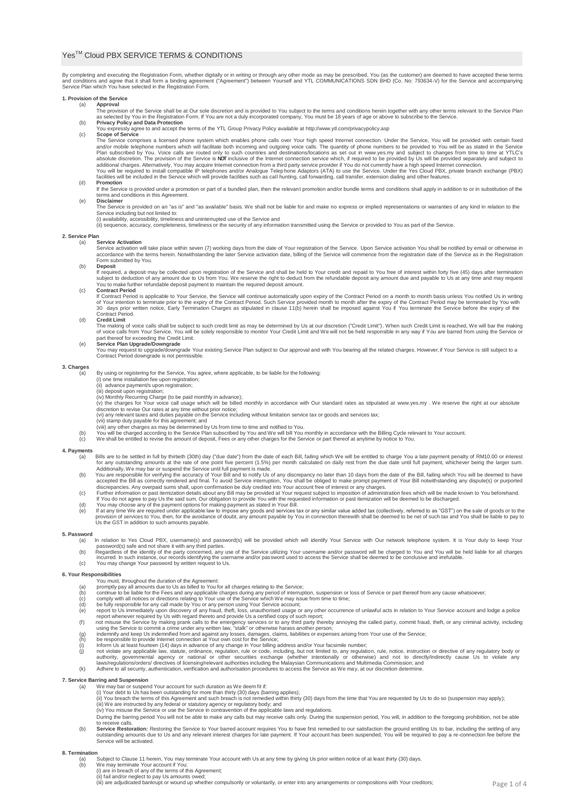### Yes™ Cloud PBX SERVICE TERMS & CONDITIONS

By completing and executing the Registration Form, whether digitally or in writing or through any other mode as may be prescribed, You (as the customer) are deemed to have accepted these terms<br>and conditions and agree that

## **1. Provision of the Service**

- (a) Approval<br>The provision of the Service shall be at Our sole discretion and is provided to You subject to the terms and conditions herein together with any other terms relevant to the Service Plan
- as selected by You in the Registration Form. If You are not a duly incorporated company, You must be 18 years of age or above to subscribe to the Service.<br>Privacy Policy and Data Protection<br>You expressly agree to and accep
- (c) **Scope of Service**

The Service comprises a licensed phone system which enables phone calls over Your high speed Internet connection. Under the Service, You will be provided with certain fixed with certain fixed by the provided with certain f additional charges. Alternatively, You may acquire Internet connection from a third party service provider if You do not currently have a high speed Internet connection.<br>You will be required to install compatible IP teleph (d) **Promotion**

- lf the Service is provided under a promotion or part of a bundled plan, then the relevant promotion and/or bundle terms and conditions shall apply in addition to or in substitution of the<br>terms and conditions in this Agree
- (e) **Disclaimer**
- The Service is provided on an "as is" and "as available" basis. We shall not be liable for and make no express or implied representations or warranties of any kind in relation to the Service including but not limited to:
	- (i) availability, accessibility, timeliness and uninterrupted use of the Service and<br>(ii) sequence, accuracy, completeness, timeliness or the security of any information transmitted using the Service or provided to You as

## **2. Service Plan**

**Service Activation** 

Service activation will take place within seven (7) working days from the date of Your registration of the Service. Upon Service activation You shall be notified by email or otherwise in<br>accordance with the terms herein. N

- (b) **Deposit**
- lf required, a deposit may be collected upon registration of the Service and shall be held to Your credit and repaid to You free of interest within forty five (45) days after termination<br>subject to deduction of any amount (c) **Contract Period**
	- If Contract Period is applicable to Your Service, the Service will continue automatically upon expiry of the Contract Period on a month to month basis unless You notified Us in writing<br>of Your intention to terminate prior

### (d) **Credit Limit**

The making of voice calls shall be subject to such credit limit as may be determined by Us at our discretion ("Credit Limit"). When such Credit Limit is reached, We will bar the making<br>of voice calls from Your Service. You

- 
- 

### **3. Charges**

By using or registering for the Service, You agree, where applicable, to be liable for the following:

- 
- (i) one time installation fee upon registration;<br>(iii) advance payment/s upon registration;<br>(iii) deposit upon registration;<br>(iv) Monthly Recurring Charge (to be paid monthly in advance);
- 
- (v) the charges for Your voice call usage which will be billed monthly in accordance with Our standard rates as stipulated at [www.yes.my](http://www.yes.my/) . We reserve the right at our absolute<br>discretion to revise Our rates at any time wit
- 
- (vii) stamp duty payable for this agreement; and
- viii) any other charges as may be determined by Us from time to time and notified to You.<br>(b) You will be charged according to the Service Plan subscribed by You and We will bill You monthly in accordance with the Billing
	- We shall be entitled to revise the amount of deposit, Fees or any other charges for the Service or part thereof at anytime by notice to You.

## **4. Payments**

- a) Bills are to be settled in full by thirtieth (30th) day ("due date") from the date of each Bill, failing which We will be entitled to charge You a late payment penalty of RM10.00 or interest<br>for any outstanding amounts
- 
- accepted the Bill as correctly rendered and final. To avoid Service interruption, You shall be obliged to make prompt payment of Your Bill notwithstanding any dispute(s) or purported<br>discrepancies. Any overpaid sums shall,
- (d) You may choose any of the payment options for making payment as stated in Your Bill.<br>(e) If at any time We are required under applicable law to impose any goods and services tax or any similar value added tax (collecti

## **5. Password**

- 
- h relation to Yes Cloud PBX, username(s) and password(s) will be provided which will identify Your Service with Our network telephone system. It is Your duty to keep Your<br>(b) password(s) safe and not share it with any thir
- 

### **6. Your Responsibilities**

- 
- You must, throughout the duration of the Agreement: (a) promptly pay all amounts due to Us as billed to You for all charges relating to the Service;
- 
- 
- 
- 
- 
- 
- 
- (b)<br>
cominum to be liable for the Fees and any applicable charges during any period of interruption, suspension or loss of Service or part thereof from any cause whatsoever;<br>
(c) comply with all notices or directions relat
	-

- **7. Service Barring and Suspension** (a) We may bar or suspend Your account for such duration as We deem fit if:
	-
	- (i) Your debt to Us has been outstanding for more than thirty (30) days (barring applies);<br>(ii) You breach the terms of this Agreement and such breach is not remedied within thirty (30) days from the time that You are requ
	-
	- During the barring period You will not be able to make any calls but may receive calls only. During the suspension period, You will, in addition to the foregoing prohibition, not be able to receive calls.<br>(b) Service Restoration: Restoring the Service to Your barred account requires You to have first remedied to our satisfaction the ground entitling Us to bar, including the settling of any<br>outstanding amou
	- Service will be activated.

#### **8. Termination**

- (a) Subject to Clause 11 herein, You may terminate Your account with Us at any time by giving Us prior written notice of at least thirty (30) days.<br>(b) We may terminate Your account if You:
	- -